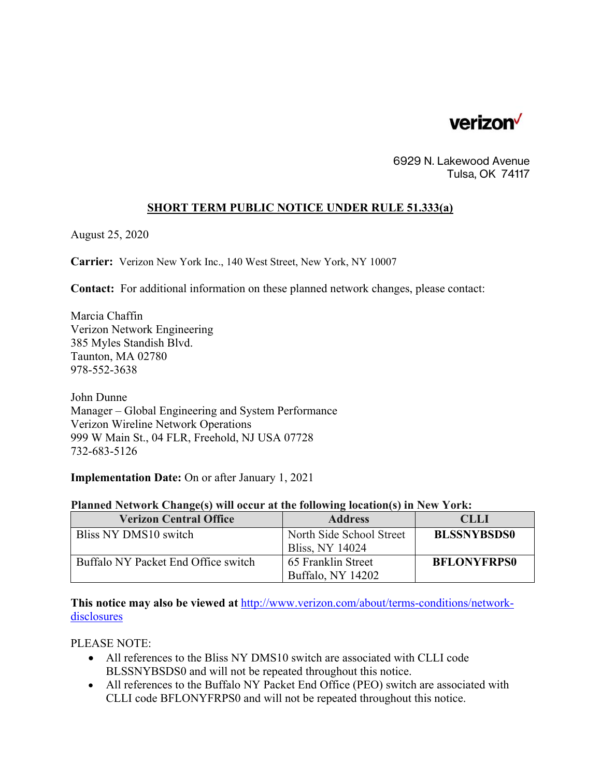

6929 N. Lakewood Avenue Tulsa, OK 74117

## **SHORT TERM PUBLIC NOTICE UNDER RULE 51.333(a)**

August 25, 2020

**Carrier:** Verizon New York Inc., 140 West Street, New York, NY 10007

**Contact:** For additional information on these planned network changes, please contact:

Marcia Chaffin Verizon Network Engineering 385 Myles Standish Blvd. Taunton, MA 02780 978-552-3638

John Dunne Manager – Global Engineering and System Performance Verizon Wireline Network Operations 999 W Main St., 04 FLR, Freehold, NJ USA 07728 732-683-5126

**Implementation Date:** On or after January 1, 2021

## **Planned Network Change(s) will occur at the following location(s) in New York:**

| <b>Verizon Central Office</b>       | <b>Address</b>           | <b>CLLI</b>        |
|-------------------------------------|--------------------------|--------------------|
| Bliss NY DMS10 switch               | North Side School Street | <b>BLSSNYBSDS0</b> |
|                                     | <b>Bliss, NY 14024</b>   |                    |
| Buffalo NY Packet End Office switch | 65 Franklin Street       | <b>BFLONYFRPS0</b> |
|                                     | Buffalo, NY 14202        |                    |

**This notice may also be viewed at** http://www.verizon.com/about/terms-conditions/networkdisclosures

PLEASE NOTE:

- All references to the Bliss NY DMS10 switch are associated with CLLI code BLSSNYBSDS0 and will not be repeated throughout this notice.
- All references to the Buffalo NY Packet End Office (PEO) switch are associated with CLLI code BFLONYFRPS0 and will not be repeated throughout this notice.